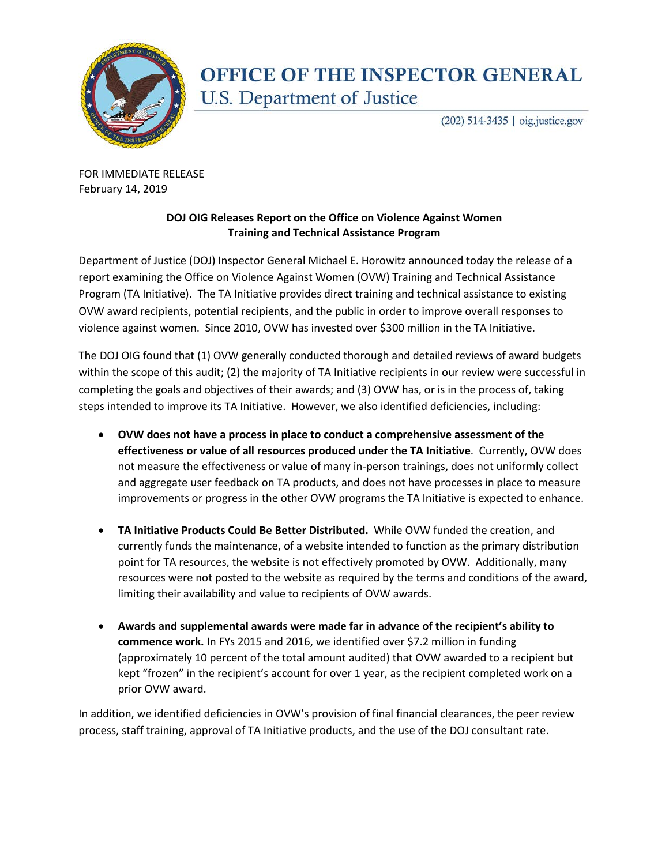

## **OFFICE OF THE INSPECTOR GENERAL** U.S. Department of Justice

(202) 514-3435 | oig.justice.gov

FOR IMMEDIATE RELEASE February 14, 2019

## **DOJ OIG Releases Report on the Office on Violence Against Women Training and Technical Assistance Program**

Department of Justice (DOJ) Inspector General Michael E. Horowitz announced today the release of a report examining the Office on Violence Against Women (OVW) Training and Technical Assistance Program (TA Initiative). The TA Initiative provides direct training and technical assistance to existing OVW award recipients, potential recipients, and the public in order to improve overall responses to violence against women. Since 2010, OVW has invested over \$300 million in the TA Initiative.

The DOJ OIG found that (1) OVW generally conducted thorough and detailed reviews of award budgets within the scope of this audit; (2) the majority of TA Initiative recipients in our review were successful in completing the goals and objectives of their awards; and (3) OVW has, or is in the process of, taking steps intended to improve its TA Initiative. However, we also identified deficiencies, including:

- **OVW does not have a process in place to conduct a comprehensive assessment of the effectiveness or value of all resources produced under the TA Initiative**. Currently, OVW does not measure the effectiveness or value of many in-person trainings, does not uniformly collect and aggregate user feedback on TA products, and does not have processes in place to measure improvements or progress in the other OVW programs the TA Initiative is expected to enhance.
- **TA Initiative Products Could Be Better Distributed.** While OVW funded the creation, and currently funds the maintenance, of a website intended to function as the primary distribution point for TA resources, the website is not effectively promoted by OVW. Additionally, many resources were not posted to the website as required by the terms and conditions of the award, limiting their availability and value to recipients of OVW awards.
- **Awards and supplemental awards were made far in advance of the recipient's ability to commence work.** In FYs 2015 and 2016, we identified over \$7.2 million in funding (approximately 10 percent of the total amount audited) that OVW awarded to a recipient but kept "frozen" in the recipient's account for over 1 year, as the recipient completed work on a prior OVW award.

In addition, we identified deficiencies in OVW's provision of final financial clearances, the peer review process, staff training, approval of TA Initiative products, and the use of the DOJ consultant rate.